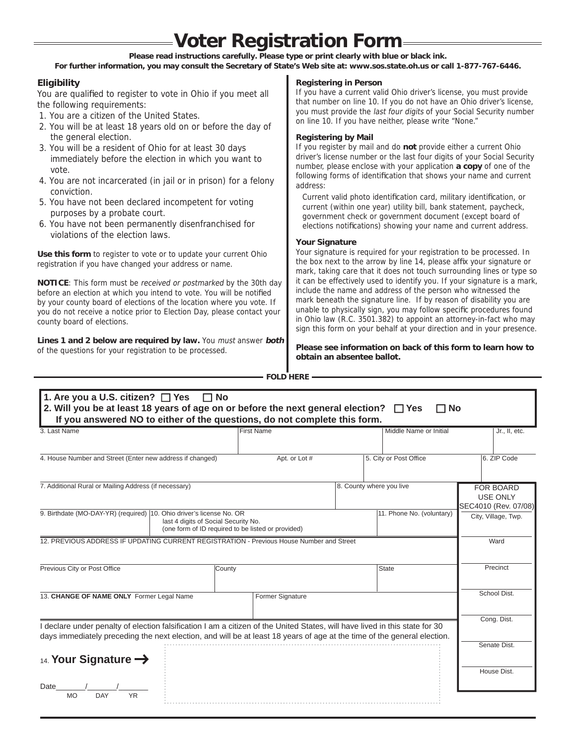# **Voter Registration Form**

**Please read instructions carefully. Please type or print clearly with blue or black ink.** 

**For further information, you may consult the Secretary of State's Web site at: www.sos.state.oh.us or call 1-877-767-6446.**

# **Eligibility**

You are qualified to register to vote in Ohio if you meet all the following requirements:

- 1. You are a citizen of the United States.
- 2. You will be at least 18 years old on or before the day of the general election.
- 3. You will be a resident of Ohio for at least 30 days immediately before the election in which you want to vote.
- 4. You are not incarcerated (in jail or in prison) for a felony conviction.
- 5. You have not been declared incompetent for voting purposes by a probate court.
- 6. You have not been permanently disenfranchised for violations of the election laws.

**Use this form** to register to vote or to update your current Ohio registration if you have changed your address or name.

**NOTICE**: This form must be received or postmarked by the 30th day before an election at which you intend to vote. You will be notified by your county board of elections of the location where you vote. If you do not receive a notice prior to Election Day, please contact your county board of elections.

**Lines 1 and 2 below are required by law.** You must answer **both** of the questions for your registration to be processed.

**Registering in Person**

If you have a current valid Ohio driver's license, you must provide that number on line 10. If you do not have an Ohio driver's license, you must provide the last four digits of your Social Security number on line 10. If you have neither, please write "None."

#### **Registering by Mail**

If you register by mail and do **not** provide either a current Ohio driver's license number or the last four digits of your Social Security number, please enclose with your application **a copy** of one of the following forms of identification that shows your name and current address:

Current valid photo identification card, military identification, or current (within one year) utility bill, bank statement, paycheck, government check or government document (except board of elections notifications) showing your name and current address.

#### **Your Signature**

Your signature is required for your registration to be processed. In the box next to the arrow by line 14, please affix your signature or mark, taking care that it does not touch surrounding lines or type so it can be effectively used to identify you. If your signature is a mark, include the name and address of the person who witnessed the mark beneath the signature line. If by reason of disability you are unable to physically sign, you may follow specific procedures found in Ohio law (R.C. 3501.382) to appoint an attorney-in-fact who may sign this form on your behalf at your direction and in your presence.

**Please see information on back of this form to learn how to obtain an absentee ballot.**

**FOLD HERE**

| 3 Last Name                                                                                                                                                                                                                                            | <b>First Name</b>                                  | Middle Name or Initial    | Jr., II, etc.                                               |
|--------------------------------------------------------------------------------------------------------------------------------------------------------------------------------------------------------------------------------------------------------|----------------------------------------------------|---------------------------|-------------------------------------------------------------|
| 4. House Number and Street (Enter new address if changed)                                                                                                                                                                                              | Apt. or Lot #                                      | 5. City or Post Office    | 6. ZIP Code                                                 |
| 7. Additional Rural or Mailing Address (if necessary)                                                                                                                                                                                                  |                                                    | 8. County where you live  | <b>FOR BOARD</b><br><b>USE ONLY</b><br>SEC4010 (Rev. 07/08) |
| 9. Birthdate (MO-DAY-YR) (required) 10. Ohio driver's license No. OR<br>last 4 digits of Social Security No.                                                                                                                                           | (one form of ID required to be listed or provided) | 11. Phone No. (voluntary) | City, Village, Twp.                                         |
| 12. PREVIOUS ADDRESS IF UPDATING CURRENT REGISTRATION - Previous House Number and Street                                                                                                                                                               |                                                    |                           | Ward                                                        |
| Previous City or Post Office<br>County                                                                                                                                                                                                                 |                                                    | State                     | Precinct                                                    |
| 13. CHANGE OF NAME ONLY Former Legal Name                                                                                                                                                                                                              | Former Signature                                   |                           | School Dist.                                                |
| I declare under penalty of election falsification I am a citizen of the United States, will have lived in this state for 30<br>days immediately preceding the next election, and will be at least 18 years of age at the time of the general election. |                                                    |                           | Cong. Dist.                                                 |
| 14. Your Signature $\rightarrow$                                                                                                                                                                                                                       |                                                    |                           | Senate Dist.                                                |
|                                                                                                                                                                                                                                                        |                                                    |                           | House Dist.                                                 |